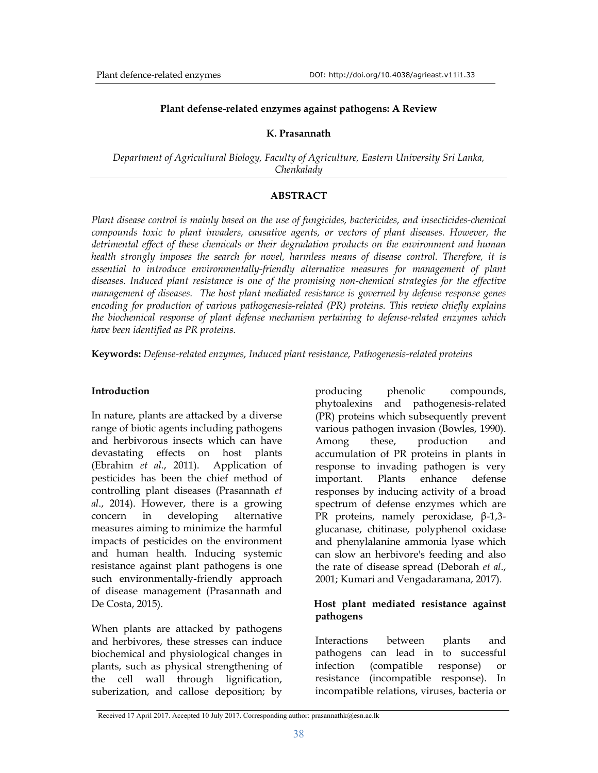#### **Plant defense-related enzymes against pathogens: A Review**

#### **K. Prasannath**

*Department of Agricultural Biology, Faculty of Agriculture, Eastern University Sri Lanka, Chenkalady* 

### **ABSTRACT**

*Plant disease control is mainly based on the use of fungicides, bactericides, and insecticides-chemical compounds toxic to plant invaders, causative agents, or vectors of plant diseases. However, the detrimental effect of these chemicals or their degradation products on the environment and human health strongly imposes the search for novel, harmless means of disease control. Therefore, it is essential to introduce environmentally-friendly alternative measures for management of plant diseases. Induced plant resistance is one of the promising non-chemical strategies for the effective management of diseases. The host plant mediated resistance is governed by defense response genes encoding for production of various pathogenesis-related (PR) proteins. This review chiefly explains the biochemical response of plant defense mechanism pertaining to defense-related enzymes which have been identified as PR proteins.* 

**Keywords:** *Defense-related enzymes, Induced plant resistance, Pathogenesis-related proteins* 

### **Introduction**

In nature, plants are attacked by a diverse range of biotic agents including pathogens and herbivorous insects which can have devastating effects on host plants (Ebrahim *et al.*, 2011). Application of pesticides has been the chief method of controlling plant diseases (Prasannath *et al*., 2014). However, there is a growing concern in developing alternative measures aiming to minimize the harmful impacts of pesticides on the environment and human health. Inducing systemic resistance against plant pathogens is one such environmentally-friendly approach of disease management (Prasannath and De Costa, 2015).

When plants are attacked by pathogens and herbivores, these stresses can induce biochemical and physiological changes in plants, such as physical strengthening of the cell wall through lignification, suberization, and callose deposition; by producing phenolic compounds, phytoalexins and pathogenesis-related (PR) proteins which subsequently prevent various pathogen invasion (Bowles, 1990). Among these, production and accumulation of PR proteins in plants in response to invading pathogen is very important. Plants enhance defense responses by inducing activity of a broad spectrum of defense enzymes which are PR proteins, namely peroxidase, β-1,3 glucanase, chitinase, polyphenol oxidase and phenylalanine ammonia lyase which can slow an herbivore's feeding and also the rate of disease spread (Deborah *et al*., 2001; Kumari and Vengadaramana, 2017).

### **Host plant mediated resistance against pathogens**

Interactions between plants and pathogens can lead in to successful infection (compatible response) or resistance (incompatible response). In incompatible relations, viruses, bacteria or

Received 17 April 2017. Accepted 10 July 2017. Corresponding author: prasannathk@esn.ac.lk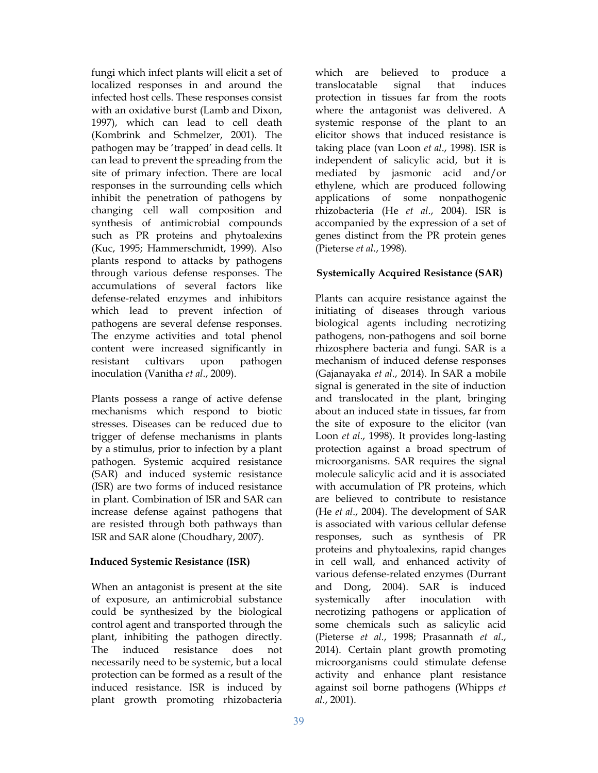fungi which infect plants will elicit a set of localized responses in and around the infected host cells. These responses consist with an oxidative burst (Lamb and Dixon, 1997), which can lead to cell death (Kombrink and Schmelzer, 2001). The pathogen may be 'trapped' in dead cells. It can lead to prevent the spreading from the site of primary infection. There are local responses in the surrounding cells which inhibit the penetration of pathogens by changing cell wall composition and synthesis of antimicrobial compounds such as PR proteins and phytoalexins (Kuc, 1995; Hammerschmidt, 1999). Also plants respond to attacks by pathogens through various defense responses. The accumulations of several factors like defense-related enzymes and inhibitors which lead to prevent infection of pathogens are several defense responses. The enzyme activities and total phenol content were increased significantly in resistant cultivars upon pathogen inoculation (Vanitha *et al*., 2009).

Plants possess a range of active defense mechanisms which respond to biotic stresses. Diseases can be reduced due to trigger of defense mechanisms in plants by a stimulus, prior to infection by a plant pathogen. Systemic acquired resistance (SAR) and induced systemic resistance (ISR) are two forms of induced resistance in plant. Combination of ISR and SAR can increase defense against pathogens that are resisted through both pathways than ISR and SAR alone (Choudhary, 2007).

## **Induced Systemic Resistance (ISR)**

When an antagonist is present at the site of exposure, an antimicrobial substance could be synthesized by the biological control agent and transported through the plant, inhibiting the pathogen directly. The induced resistance does not necessarily need to be systemic, but a local protection can be formed as a result of the induced resistance. ISR is induced by plant growth promoting rhizobacteria

which are believed to produce a translocatable signal that induces protection in tissues far from the roots where the antagonist was delivered. A systemic response of the plant to an elicitor shows that induced resistance is taking place (van Loon *et al*., 1998). ISR is independent of salicylic acid, but it is mediated by jasmonic acid and/or ethylene, which are produced following applications of some nonpathogenic rhizobacteria (He *et al*., 2004). ISR is accompanied by the expression of a set of genes distinct from the PR protein genes (Pieterse *et al.*, 1998).

## **Systemically Acquired Resistance (SAR)**

Plants can acquire resistance against the initiating of diseases through various biological agents including necrotizing pathogens, non-pathogens and soil borne rhizosphere bacteria and fungi. SAR is a mechanism of induced defense responses (Gajanayaka *et al*., 2014). In SAR a mobile signal is generated in the site of induction and translocated in the plant, bringing about an induced state in tissues, far from the site of exposure to the elicitor (van Loon *et al*., 1998). It provides long-lasting protection against a broad spectrum of microorganisms. SAR requires the signal molecule salicylic acid and it is associated with accumulation of PR proteins, which are believed to contribute to resistance (He *et al*., 2004). The development of SAR is associated with various cellular defense responses, such as synthesis of PR proteins and phytoalexins, rapid changes in cell wall, and enhanced activity of various defense-related enzymes (Durrant and Dong, 2004). SAR is induced systemically after inoculation with necrotizing pathogens or application of some chemicals such as salicylic acid (Pieterse *et al.*, 1998; Prasannath *et al*., 2014). Certain plant growth promoting microorganisms could stimulate defense activity and enhance plant resistance against soil borne pathogens (Whipps *et al*., 2001).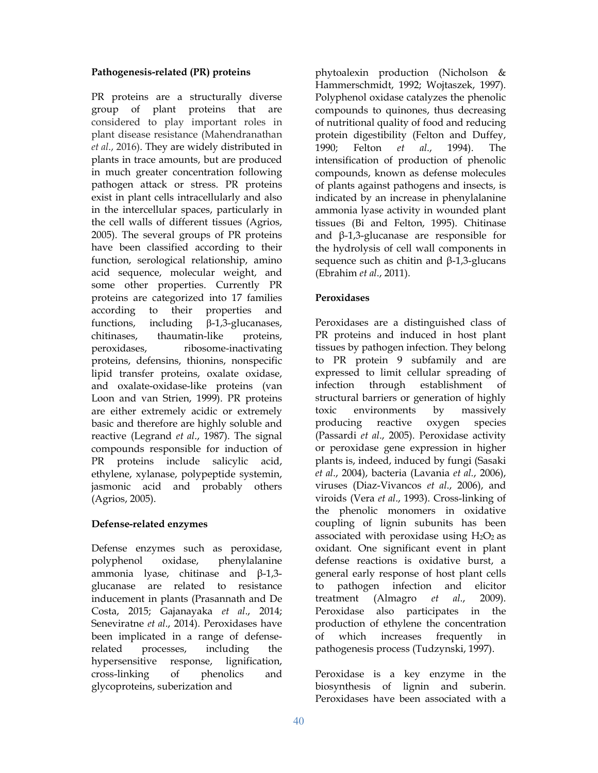### **Pathogenesis-related (PR) proteins**

PR proteins are a structurally diverse group of plant proteins that are considered to play important roles in plant disease resistance (Mahendranathan *et al*., 2016). They are widely distributed in plants in trace amounts, but are produced in much greater concentration following pathogen attack or stress. PR proteins exist in plant cells intracellularly and also in the intercellular spaces, particularly in the cell walls of different tissues (Agrios, 2005). The several groups of PR proteins have been classified according to their function, serological relationship, amino acid sequence, molecular weight, and some other properties. Currently PR proteins are categorized into 17 families according to their properties and functions, including  $\beta$ -1,3-glucanases, chitinases, thaumatin-like proteins, peroxidases, ribosome-inactivating proteins, defensins, thionins, nonspecific lipid transfer proteins, oxalate oxidase, and oxalate-oxidase-like proteins (van Loon and van Strien, 1999). PR proteins are either extremely acidic or extremely basic and therefore are highly soluble and reactive (Legrand *et al*., 1987). The signal compounds responsible for induction of PR proteins include salicylic acid, ethylene, xylanase, polypeptide systemin, jasmonic acid and probably others (Agrios, 2005).

# **Defense-related enzymes**

Defense enzymes such as peroxidase, polyphenol oxidase, phenylalanine ammonia lyase, chitinase and β-1,3 glucanase are related to resistance inducement in plants (Prasannath and De Costa, 2015; Gajanayaka *et al*., 2014; Seneviratne *et al*., 2014). Peroxidases have been implicated in a range of defenserelated processes, including the hypersensitive response, lignification, cross-linking of phenolics and glycoproteins, suberization and

phytoalexin production (Nicholson & Hammerschmidt, 1992; Wojtaszek, 1997). Polyphenol oxidase catalyzes the phenolic compounds to quinones, thus decreasing of nutritional quality of food and reducing protein digestibility (Felton and Duffey, 1990; Felton *et al*., 1994). The intensification of production of phenolic compounds, known as defense molecules of plants against pathogens and insects, is indicated by an increase in phenylalanine ammonia lyase activity in wounded plant tissues (Bi and Felton, 1995). Chitinase and β-1,3-glucanase are responsible for the hydrolysis of cell wall components in sequence such as chitin and  $\beta$ -1,3-glucans (Ebrahim *et al*., 2011).

## **Peroxidases**

Peroxidases are a distinguished class of PR proteins and induced in host plant tissues by pathogen infection. They belong to PR protein 9 subfamily and are expressed to limit cellular spreading of infection through establishment of structural barriers or generation of highly toxic environments by massively producing reactive oxygen species (Passardi *et al*., 2005). Peroxidase activity or peroxidase gene expression in higher plants is, indeed, induced by fungi (Sasaki *et al*., 2004), bacteria (Lavania *et al.*, 2006), viruses (Diaz-Vivancos *et al*., 2006), and viroids (Vera *et al*., 1993). Cross-linking of the phenolic monomers in oxidative coupling of lignin subunits has been associated with peroxidase using  $H_2O_2$  as oxidant. One significant event in plant defense reactions is oxidative burst, a general early response of host plant cells to pathogen infection and elicitor treatment (Almagro *et al*., 2009). Peroxidase also participates in the production of ethylene the concentration of which increases frequently in pathogenesis process (Tudzynski, 1997).

Peroxidase is a key enzyme in the biosynthesis of lignin and suberin. Peroxidases have been associated with a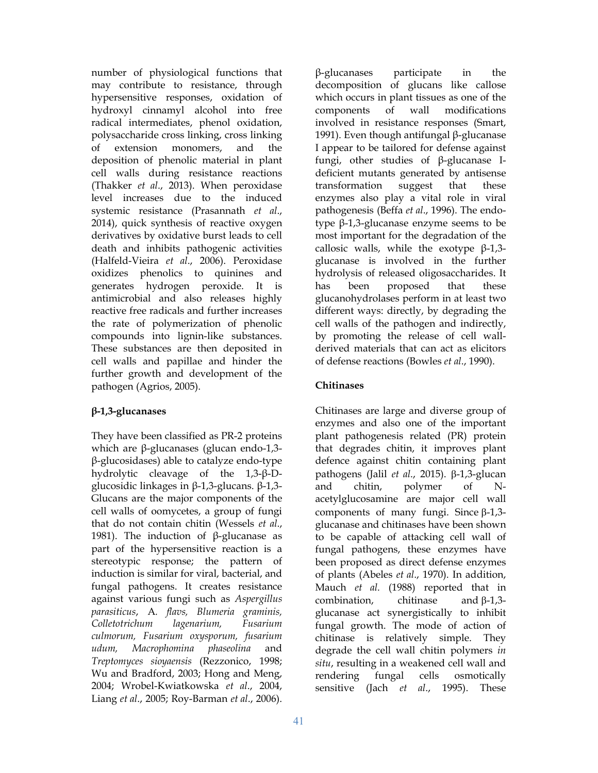number of physiological functions that may contribute to resistance, through hypersensitive responses, oxidation of hydroxyl cinnamyl alcohol into free radical intermediates, phenol oxidation, polysaccharide cross linking, cross linking of extension monomers, and the deposition of phenolic material in plant cell walls during resistance reactions (Thakker *et al*., 2013). When peroxidase level increases due to the induced systemic resistance (Prasannath *et al*., 2014), quick synthesis of reactive oxygen derivatives by oxidative burst leads to cell death and inhibits pathogenic activities (Halfeld-Vieira *et al*., 2006). Peroxidase oxidizes phenolics to quinines and generates hydrogen peroxide. It is antimicrobial and also releases highly reactive free radicals and further increases the rate of polymerization of phenolic compounds into lignin-like substances. These substances are then deposited in cell walls and papillae and hinder the further growth and development of the pathogen (Agrios, 2005).

# **β-1,3-glucanases**

They have been classified as PR-2 proteins which are β-glucanases (glucan endo-1,3 β-glucosidases) able to catalyze endo-type hydrolytic cleavage of the 1,3-β-Dglucosidic linkages in β-1,3-glucans. β-1,3- Glucans are the major components of the cell walls of oomycetes, a group of fungi that do not contain chitin (Wessels *et al*., 1981). The induction of β-glucanase as part of the hypersensitive reaction is a stereotypic response; the pattern of induction is similar for viral, bacterial, and fungal pathogens. It creates resistance against various fungi such as *Aspergillus parasiticus*, A*. flavs, Blumeria graminis, Colletotrichum lagenarium, Fusarium culmorum, Fusarium oxysporum, fusarium udum, Macrophomina phaseolina* and *Treptomyces sioyaensis* (Rezzonico, 1998; Wu and Bradford, 2003; Hong and Meng, 2004; Wrobel-Kwiatkowska *et al*., 2004, Liang *et al*., 2005; Roy-Barman *et al*., 2006).

β-glucanases participate in the decomposition of glucans like callose which occurs in plant tissues as one of the components of wall modifications involved in resistance responses (Smart, 1991). Even though antifungal β-glucanase I appear to be tailored for defense against fungi, other studies of β-glucanase Ideficient mutants generated by antisense transformation suggest that these enzymes also play a vital role in viral pathogenesis (Beffa *et al*., 1996). The endotype β-1,3-glucanase enzyme seems to be most important for the degradation of the callosic walls, while the exotype  $β-1,3$ glucanase is involved in the further hydrolysis of released oligosaccharides. It has been proposed that these glucanohydrolases perform in at least two different ways: directly, by degrading the cell walls of the pathogen and indirectly, by promoting the release of cell wallderived materials that can act as elicitors of defense reactions (Bowles *et al*., 1990).

## **Chitinases**

Chitinases are large and diverse group of enzymes and also one of the important plant pathogenesis related (PR) protein that degrades chitin, it improves plant defence against chitin containing plant pathogens (Jalil *et al.*, 2015).  $\beta$ -1,3-glucan and chitin, polymer of Nacetylglucosamine are major cell wall components of many fungi. Since  $\beta$ -1,3glucanase and chitinases have been shown to be capable of attacking cell wall of fungal pathogens, these enzymes have been proposed as direct defense enzymes of plants (Abeles *et al*., 1970). In addition, Mauch *et al.* (1988) reported that in combination, chitinase and  $\beta$ -1,3glucanase act synergistically to inhibit fungal growth. The mode of action of chitinase is relatively simple. They degrade the cell wall chitin polymers *in situ*, resulting in a weakened cell wall and rendering fungal cells osmotically sensitive (Jach *et al*., 1995). These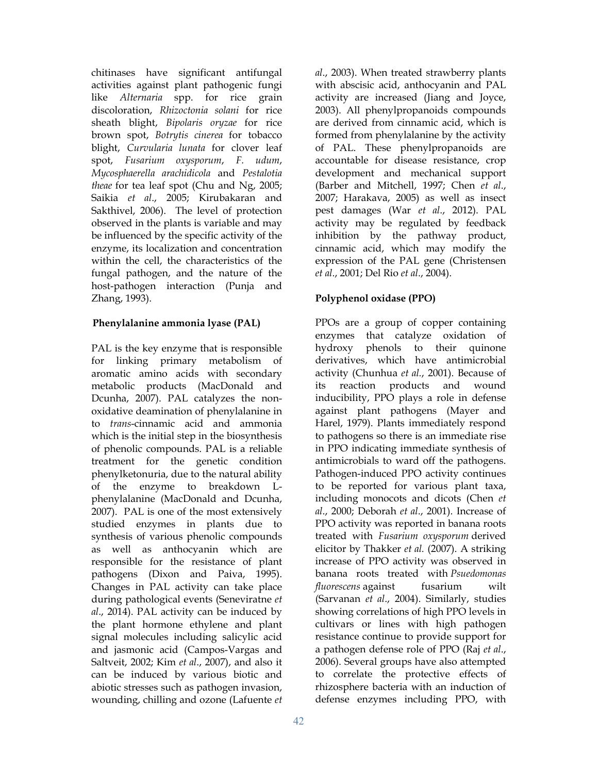chitinases have significant antifungal activities against plant pathogenic fungi like *Alternaria* spp. for rice grain discoloration, *Rhizoctonia solani* for rice sheath blight, *Bipolaris oryzae* for rice brown spot, *Botrytis cinerea* for tobacco blight, *Curvularia lunata* for clover leaf spot, *Fusarium oxysporum*, *F. udum*, *Mycosphaerella arachidicola* and *Pestalotia theae* for tea leaf spot (Chu and Ng, 2005; Saikia *et al*., 2005; Kirubakaran and Sakthivel, 2006). The level of protection observed in the plants is variable and may be influenced by the specific activity of the enzyme, its localization and concentration within the cell, the characteristics of the fungal pathogen, and the nature of the host-pathogen interaction (Punja and Zhang, 1993).

## **Phenylalanine ammonia lyase (PAL)**

PAL is the key enzyme that is responsible for linking primary metabolism of aromatic amino acids with secondary metabolic products (MacDonald and Dcunha, 2007). PAL catalyzes the nonoxidative deamination of phenylalanine in to *trans*-cinnamic acid and ammonia which is the initial step in the biosynthesis of phenolic compounds. PAL is a reliable treatment for the genetic condition phenylketonuria, due to the natural ability of the enzyme to breakdown Lphenylalanine (MacDonald and Dcunha, 2007). PAL is one of the most extensively studied enzymes in plants due to synthesis of various phenolic compounds as well as anthocyanin which are responsible for the resistance of plant pathogens (Dixon and Paiva, 1995). Changes in PAL activity can take place during pathological events (Seneviratne *et al*., 2014). PAL activity can be induced by the plant hormone ethylene and plant signal molecules including salicylic acid and jasmonic acid (Campos-Vargas and Saltveit, 2002; Kim *et al*., 2007), and also it can be induced by various biotic and abiotic stresses such as pathogen invasion, wounding, chilling and ozone (Lafuente *et*  *al*., 2003). When treated strawberry plants with abscisic acid, anthocyanin and PAL activity are increased (Jiang and Joyce, 2003). All phenylpropanoids compounds are derived from cinnamic acid, which is formed from phenylalanine by the activity of PAL. These phenylpropanoids are accountable for disease resistance, crop development and mechanical support (Barber and Mitchell, 1997; Chen *et al*., 2007; Harakava, 2005) as well as insect pest damages (War *et al*., 2012). PAL activity may be regulated by feedback inhibition by the pathway product, cinnamic acid, which may modify the expression of the PAL gene (Christensen *et al*., 2001; Del Rio *et al*., 2004).

## **Polyphenol oxidase (PPO)**

PPOs are a group of copper containing enzymes that catalyze oxidation of hydroxy phenols to their quinone derivatives, which have antimicrobial activity (Chunhua *et al.*, 2001). Because of its reaction products and wound inducibility, PPO plays a role in defense against plant pathogens (Mayer and Harel, 1979). Plants immediately respond to pathogens so there is an immediate rise in PPO indicating immediate synthesis of antimicrobials to ward off the pathogens. Pathogen-induced PPO activity continues to be reported for various plant taxa, including monocots and dicots (Chen *et al*., 2000; Deborah *et al*., 2001). Increase of PPO activity was reported in banana roots treated with *Fusarium oxysporum* derived elicitor by Thakker *et al.* (2007). A striking increase of PPO activity was observed in banana roots treated with *Psuedomonas fluorescens* against fusarium wilt (Sarvanan *et al*., 2004). Similarly, studies showing correlations of high PPO levels in cultivars or lines with high pathogen resistance continue to provide support for a pathogen defense role of PPO (Raj *et al*., 2006). Several groups have also attempted to correlate the protective effects of rhizosphere bacteria with an induction of defense enzymes including PPO, with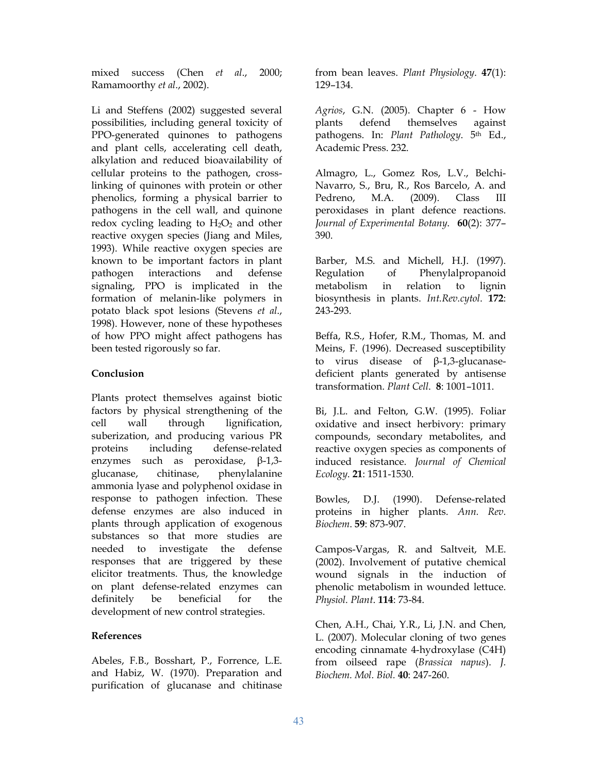mixed success (Chen *et al*., 2000; Ramamoorthy *et al*., 2002).

Li and Steffens (2002) suggested several possibilities, including general toxicity of PPO-generated quinones to pathogens and plant cells, accelerating cell death, alkylation and reduced bioavailability of cellular proteins to the pathogen, crosslinking of quinones with protein or other phenolics, forming a physical barrier to pathogens in the cell wall, and quinone redox cycling leading to  $H_2O_2$  and other reactive oxygen species (Jiang and Miles, 1993). While reactive oxygen species are known to be important factors in plant pathogen interactions and defense signaling, PPO is implicated in the formation of melanin-like polymers in potato black spot lesions (Stevens *et al*., 1998). However, none of these hypotheses of how PPO might affect pathogens has been tested rigorously so far.

### **Conclusion**

Plants protect themselves against biotic factors by physical strengthening of the cell wall through lignification, suberization, and producing various PR proteins including defense-related enzymes such as peroxidase, β-1,3 glucanase, chitinase, phenylalanine ammonia lyase and polyphenol oxidase in response to pathogen infection. These defense enzymes are also induced in plants through application of exogenous substances so that more studies are needed to investigate the defense responses that are triggered by these elicitor treatments. Thus, the knowledge on plant defense-related enzymes can definitely be beneficial for the development of new control strategies.

### **References**

Abeles, F.B., Bosshart, P., Forrence, L.E. and Habiz, W. (1970). Preparation and purification of glucanase and chitinase

from bean leaves. *Plant Physiology*. **47**(1): 129–134.

*Agrios*, G.N. (2005). Chapter 6 - How plants defend themselves against pathogens. In: *Plant Pathology*. 5th Ed., Academic Press. 232.

Almagro, L., Gomez Ros, L.V., Belchi-Navarro, S., Bru, R., Ros Barcelo, A. and Pedreno, M.A. (2009). Class III peroxidases in plant defence reactions. *Journal of Experimental Botany*. **60**(2): 377– 390.

Barber, M.S. and Michell, H.J. (1997). Regulation of Phenylalpropanoid metabolism in relation to lignin biosynthesis in plants. *Int.Rev.cytol*. **172**: 243-293.

Beffa, R.S., Hofer, R.M., Thomas, M. and Meins, F. (1996). Decreased susceptibility to virus disease of β-1,3-glucanasedeficient plants generated by antisense transformation. *Plant Cell*. **8**: 1001–1011.

Bi, J.L. and Felton, G.W. (1995). Foliar oxidative and insect herbivory: primary compounds, secondary metabolites, and reactive oxygen species as components of induced resistance. *Journal of Chemical Ecology*. **21**: 1511-1530.

Bowles, D.J. (1990). Defense-related proteins in higher plants. *Ann. Rev. Biochem*. **59**: 873-907.

Campos-Vargas, R. and Saltveit, M.E. (2002). Involvement of putative chemical wound signals in the induction of phenolic metabolism in wounded lettuce. *Physiol. Plant*. **114**: 73-84.

Chen, A.H., Chai, Y.R., Li, J.N. and Chen, L. (2007). Molecular cloning of two genes encoding cinnamate 4-hydroxylase (C4H) from oilseed rape (*Brassica napus*). *J. Biochem. Mol. Biol.* **40**: 247-260.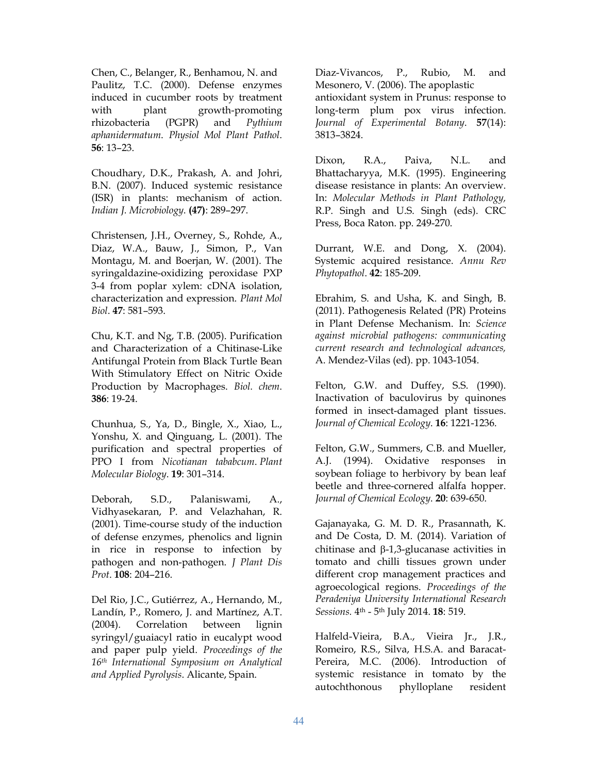Chen, C., Belanger, R., Benhamou, N. and Paulitz, T.C. (2000). Defense enzymes induced in cucumber roots by treatment with plant growth-promoting rhizobacteria (PGPR) and *Pythium aphanidermatum*. *Physiol Mol Plant Pathol*. **56**: 13–23.

Choudhary, D.K., Prakash, A. and Johri, B.N. (2007). Induced systemic resistance (ISR) in plants: mechanism of action. *Indian J. Microbiology*. **(47)**: 289–297.

Christensen, J.H., Overney, S., Rohde, A., Diaz, W.A., Bauw, J., Simon, P., Van Montagu, M. and Boerjan, W. (2001). The syringaldazine-oxidizing peroxidase PXP 3-4 from poplar xylem: cDNA isolation, characterization and expression. *Plant Mol Biol*. **47**: 581–593.

Chu, K.T. and Ng, T.B. (2005). Purification and Characterization of a Chitinase-Like Antifungal Protein from Black Turtle Bean With Stimulatory Effect on Nitric Oxide Production by Macrophages. *Biol. chem*. **386**: 19-24.

Chunhua, S., Ya, D., Bingle, X., Xiao, L., Yonshu, X. and Qinguang, L. (2001). The purification and spectral properties of PPO I from *Nicotianan tababcum*. *Plant Molecular Biology*. **19**: 301–314.

Deborah, S.D., Palaniswami, A., Vidhyasekaran, P. and Velazhahan, R. (2001). Time-course study of the induction of defense enzymes, phenolics and lignin in rice in response to infection by pathogen and non-pathogen. *J Plant Dis Prot*. **108**: 204–216.

Del Rio, J.C., Gutiérrez, A., Hernando, M., Landín, P., Romero, J. and Martínez, A.T. (2004). Correlation between lignin syringyl/guaiacyl ratio in eucalypt wood and paper pulp yield. *Proceedings of the 16th International Symposium on Analytical and Applied Pyrolysis*. Alicante, Spain.

Diaz-Vivancos, P., Rubio, M. and Mesonero, V. (2006). The apoplastic antioxidant system in Prunus: response to long-term plum pox virus infection. *Journal of Experimental Botany*. **57**(14): 3813–3824.

Dixon, R.A., Paiva, N.L. and Bhattacharyya, M.K. (1995). Engineering disease resistance in plants: An overview. In: *Molecular Methods in Plant Pathology,*  R.P. Singh and U.S. Singh (eds). CRC Press, Boca Raton. pp. 249-270.

Durrant, W.E. and Dong, X. (2004). Systemic acquired resistance. *Annu Rev Phytopathol*. **42**: 185-209.

Ebrahim, S. and Usha, K. and Singh, B. (2011). Pathogenesis Related (PR) Proteins in Plant Defense Mechanism. In: *Science against microbial pathogens: communicating current research and technological advances,*  A. Mendez-Vilas (ed). pp. 1043-1054.

Felton, G.W. and Duffey, S.S. (1990). Inactivation of baculovirus by quinones formed in insect-damaged plant tissues. *Journal of Chemical Ecology*. **16**: 1221-1236.

Felton, G.W., Summers, C.B. and Mueller, A.J. (1994). Oxidative responses in soybean foliage to herbivory by bean leaf beetle and three-cornered alfalfa hopper. *Journal of Chemical Ecology*. **20**: 639-650.

Gajanayaka, G. M. D. R., Prasannath, K. and De Costa, D. M. (2014). Variation of chitinase and  $\beta$ -1,3-glucanase activities in tomato and chilli tissues grown under different crop management practices and agroecological regions. *Proceedings of the Peradeniya University International Research Sessions.* 4th - 5th July 2014. **18**: 519.

Halfeld-Vieira, B.A., Vieira Jr., J.R., Romeiro, R.S., Silva, H.S.A. and Baracat-Pereira, M.C. (2006). Introduction of systemic resistance in tomato by the autochthonous phylloplane resident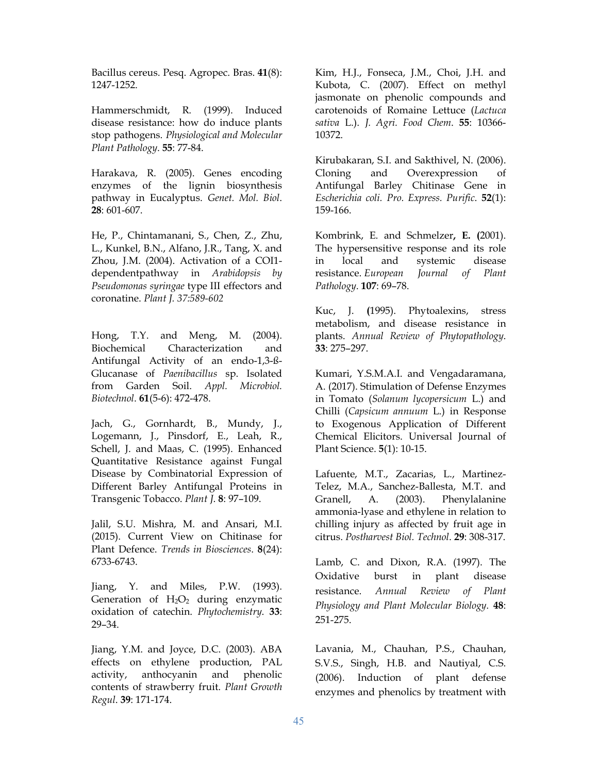Bacillus cereus. Pesq. Agropec. Bras. **41**(8): 1247-1252.

Hammerschmidt, R. (1999). Induced disease resistance: how do induce plants stop pathogens. *Physiological and Molecular Plant Pathology*. **55**: 77-84.

Harakava, R. (2005). Genes encoding enzymes of the lignin biosynthesis pathway in Eucalyptus. *Genet. Mol. Biol*. **28**: 601-607.

He, P., Chintamanani, S., Chen, Z., Zhu, L., Kunkel, B.N., Alfano, J.R., Tang, X. and Zhou, J.M. (2004). Activation of a COI1 dependentpathway in *Arabidopsis by Pseudomonas syringae* type III effectors and coronatine. *Plant J. 37:589-602* 

Hong, T.Y. and Meng, M. (2004). Biochemical Characterization and Antifungal Activity of an endo-1,3-ß-Glucanase of *Paenibacillus* sp. Isolated from Garden Soil. *Appl. Microbiol. Biotechnol*. **61**(5-6): 472-478.

Jach, G., Gornhardt, B., Mundy, J., Logemann, J., Pinsdorf, E., Leah, R., Schell, J. and Maas, C. (1995). Enhanced Quantitative Resistance against Fungal Disease by Combinatorial Expression of Different Barley Antifungal Proteins in Transgenic Tobacco. *Plant J*. **8**: 97–109.

Jalil, S.U. Mishra, M. and Ansari, M.I. (2015). Current View on Chitinase for Plant Defence. *Trends in Biosciences*. **8**(24): 6733-6743.

Jiang, Y. and Miles, P.W. (1993). Generation of  $H_2O_2$  during enzymatic oxidation of catechin. *Phytochemistry*. **33**: 29–34.

Jiang, Y.M. and Joyce, D.C. (2003). ABA effects on ethylene production, PAL activity, anthocyanin and phenolic contents of strawberry fruit. *Plant Growth Regul*. **39**: 171-174.

Kim, H.J., Fonseca, J.M., Choi, J.H. and Kubota, C. (2007). Effect on methyl jasmonate on phenolic compounds and carotenoids of Romaine Lettuce (*Lactuca sativa* L.). *J. Agri. Food Chem*. **55**: 10366- 10372.

Kirubakaran, S.I. and Sakthivel, N. (2006). Cloning and Overexpression of Antifungal Barley Chitinase Gene in *Escherichia coli. Pro. Express. Purific*. **52**(1): 159-166.

Kombrink, E. and Schmelzer**, E. (**2001). The hypersensitive response and its role in local and systemic disease resistance. *European Journal of Plant Pathology*. **107**: 69–78.

Kuc, J. **(**1995). Phytoalexins, stress metabolism, and disease resistance in plants. *Annual Review of Phytopathology*. **33**: 275–297.

Kumari, Y.S.M.A.I. and Vengadaramana, A. (2017). Stimulation of Defense Enzymes in Tomato (*Solanum lycopersicum* L.) and Chilli (*Capsicum annuum* L.) in Response to Exogenous Application of Different Chemical Elicitors. Universal Journal of Plant Science. **5**(1): 10-15.

Lafuente, M.T., Zacarias, L., Martinez-Telez, M.A., Sanchez-Ballesta, M.T. and Granell, A. (2003). Phenylalanine ammonia-lyase and ethylene in relation to chilling injury as affected by fruit age in citrus. *Postharvest Biol. Technol*. **29**: 308-317.

Lamb, C. and Dixon, R.A. (1997). The Oxidative burst in plant disease resistance. *Annual Review of Plant Physiology and Plant Molecular Biology*. **48**: 251-275.

Lavania, M., Chauhan, P.S., Chauhan, S.V.S., Singh, H.B. and Nautiyal, C.S. (2006). Induction of plant defense enzymes and phenolics by treatment with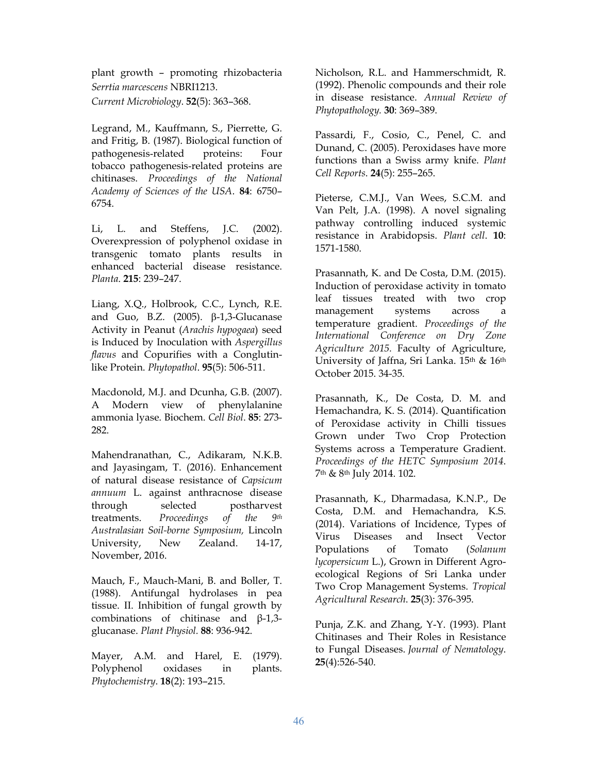plant growth – promoting rhizobacteria *Serrtia marcescens* NBRI1213. *Current Microbiology*. **52**(5): 363–368.

Legrand, M., Kauffmann, S., Pierrette, G. and Fritig, B. (1987). Biological function of pathogenesis‐related proteins: Four tobacco pathogenesis‐related proteins are chitinases. *Proceedings of the National Academy of Sciences of the USA*. **84**: 6750– 6754.

Li, L. and Steffens, J.C. (2002). Overexpression of polyphenol oxidase in transgenic tomato plants results in enhanced bacterial disease resistance. *Planta*. **215**: 239–247.

Liang, X.Q., Holbrook, C.C., Lynch, R.E. and Guo, B.Z. (2005).  $\beta$ -1,3-Glucanase Activity in Peanut (*Arachis hypogaea*) seed is Induced by Inoculation with *Aspergillus flavus* and Copurifies with a Conglutinlike Protein. *Phytopathol*. **95**(5): 506-511.

Macdonold, M.J. and Dcunha, G.B. (2007). A Modern view of phenylalanine ammonia lyase. Biochem. *Cell Biol*. **85**: 273- 282.

Mahendranathan, C., Adikaram, N.K.B. and Jayasingam, T. (2016). Enhancement of natural disease resistance of *Capsicum annuum* L. against anthracnose disease through selected postharvest treatments. *Proceedings of the 9th Australasian Soil-borne Symposium,* Lincoln University, New Zealand. 14-17, November, 2016.

Mauch, F., Mauch-Mani, B. and Boller, T. (1988). Antifungal hydrolases in pea tissue. II. Inhibition of fungal growth by combinations of chitinase and β-1,3 glucanase. *Plant Physiol.* **88**: 936-942.

Mayer, A.M. and Harel, E. (1979). Polyphenol oxidases in plants. *Phytochemistry*. **18**(2): 193–215.

Nicholson, R.L. and Hammerschmidt, R. (1992). Phenolic compounds and their role in disease resistance. *Annual Review of Phytopathology.* **30**: 369–389.

Passardi, F., Cosio, C., Penel, C. and Dunand, C. (2005). Peroxidases have more functions than a Swiss army knife. *Plant Cell Reports*. **24**(5): 255–265.

Pieterse, C.M.J., Van Wees, S.C.M. and Van Pelt, J.A. (1998). A novel signaling pathway controlling induced systemic resistance in Arabidopsis. *Plant cell*. **10**: 1571-1580.

Prasannath, K. and De Costa, D.M. (2015). Induction of peroxidase activity in tomato leaf tissues treated with two crop management systems across a temperature gradient. *Proceedings of the International Conference on Dry Zone Agriculture 2015.* Faculty of Agriculture, University of Jaffna, Sri Lanka. 15<sup>th</sup> & 16<sup>th</sup> October 2015. 34-35.

Prasannath, K., De Costa, D. M. and Hemachandra, K. S. (2014). Quantification of Peroxidase activity in Chilli tissues Grown under Two Crop Protection Systems across a Temperature Gradient. *Proceedings of the HETC Symposium 2014*. 7th & 8th July 2014. 102.

Prasannath, K., Dharmadasa, K.N.P., De Costa, D.M. and Hemachandra, K.S. (2014). Variations of Incidence, Types of Virus Diseases and Insect Vector Populations of Tomato (*Solanum lycopersicum* L.), Grown in Different Agroecological Regions of Sri Lanka under Two Crop Management Systems. *Tropical Agricultural Research*. **25**(3): 376-395.

Punja, Z.K. and Zhang, Y-Y. (1993). Plant Chitinases and Their Roles in Resistance to Fungal Diseases. *Journal of Nematology*. **25**(4):526-540.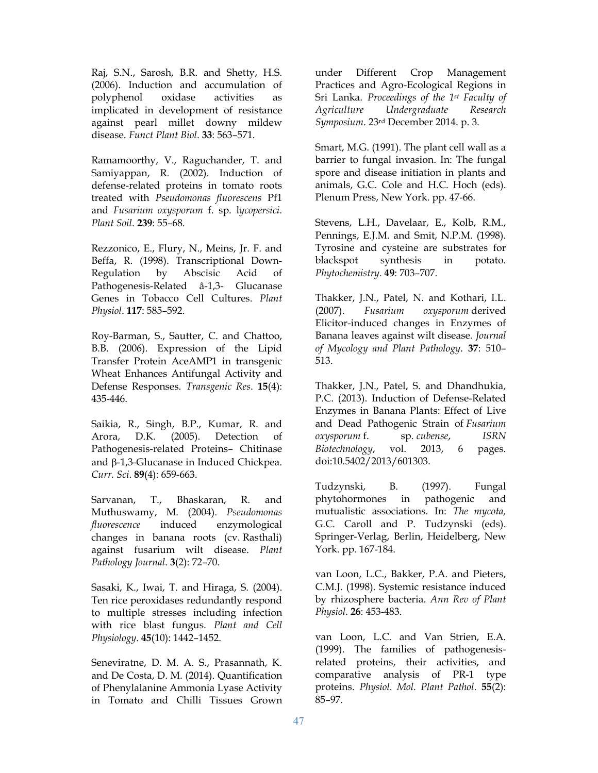Raj, S.N., Sarosh, B.R. and Shetty, H.S. (2006). Induction and accumulation of polyphenol oxidase activities as implicated in development of resistance against pearl millet downy mildew disease. *Funct Plant Biol*. **33**: 563–571.

Ramamoorthy, V., Raguchander, T. and Samiyappan, R. (2002). Induction of defense-related proteins in tomato roots treated with *Pseudomonas fluorescens* Pf1 and *Fusarium oxysporum* f. sp. l*ycopersici*. *Plant Soil*. **239**: 55–68.

Rezzonico, E., Flury, N., Meins, Jr. F. and Beffa, R. (1998). Transcriptional Down-Regulation by Abscisic Acid of Pathogenesis-Related â-1,3- Glucanase Genes in Tobacco Cell Cultures. *Plant Physiol*. **117**: 585–592.

Roy-Barman, S., Sautter, C. and Chattoo, B.B. (2006). Expression of the Lipid Transfer Protein AceAMP1 in transgenic Wheat Enhances Antifungal Activity and Defense Responses. *Transgenic Res*. **15**(4): 435-446.

Saikia, R., Singh, B.P., Kumar, R. and Arora, D.K. (2005). Detection of Pathogenesis-related Proteins– Chitinase and  $\beta$ -1,3-Glucanase in Induced Chickpea. *Curr. Sci*. **89**(4): 659-663.

Sarvanan, T., Bhaskaran, R. and Muthuswamy, M. (2004). *Pseudomonas fluorescence* induced enzymological changes in banana roots (cv. Rasthali) against fusarium wilt disease. *Plant Pathology Journal*. **3**(2): 72–70.

Sasaki, K., Iwai, T. and Hiraga, S. (2004). Ten rice peroxidases redundantly respond to multiple stresses including infection with rice blast fungus. *Plant and Cell Physiology*. **45**(10): 1442–1452.

Seneviratne, D. M. A. S., Prasannath, K. and De Costa, D. M. (2014). Quantification of Phenylalanine Ammonia Lyase Activity in Tomato and Chilli Tissues Grown under Different Crop Management Practices and Agro-Ecological Regions in Sri Lanka. *Proceedings of the 1st Faculty of Agriculture Undergraduate Research Symposium*. 23rd December 2014. p. 3.

Smart, M.G. (1991). The plant cell wall as a barrier to fungal invasion. In: The fungal spore and disease initiation in plants and animals, G.C. Cole and H.C. Hoch (eds). Plenum Press, New York. pp. 47-66.

Stevens, L.H., Davelaar, E., Kolb, R.M., Pennings, E.J.M. and Smit, N.P.M. (1998). Tyrosine and cysteine are substrates for blackspot synthesis in potato. *Phytochemistry*. **49**: 703–707.

Thakker, J.N., Patel, N. and Kothari, I.L. (2007). *Fusarium oxysporum* derived Elicitor-induced changes in Enzymes of Banana leaves against wilt disease. *Journal of Mycology and Plant Pathology*. **37**: 510– 513.

Thakker, J.N., Patel, S. and Dhandhukia, P.C. (2013). Induction of Defense-Related Enzymes in Banana Plants: Effect of Live and Dead Pathogenic Strain of *Fusarium oxysporum* f. sp. *cubense*, *ISRN Biotechnology*, vol. 2013, 6 pages. doi:10.5402/2013/601303.

Tudzynski, B. (1997). Fungal phytohormones in pathogenic and mutualistic associations. In: *The mycota,* G.C. Caroll and P. Tudzynski (eds). Springer-Verlag, Berlin, Heidelberg, New York. pp. 167-184.

van Loon, L.C., Bakker, P.A. and Pieters, C.M.J. (1998). Systemic resistance induced by rhizosphere bacteria. *Ann Rev of Plant Physiol*. **26**: 453-483.

van Loon, L.C. and Van Strien, E.A. (1999). The families of pathogenesisrelated proteins, their activities, and comparative analysis of PR-1 type proteins. *Physiol. Mol. Plant Pathol*. **55**(2): 85–97.